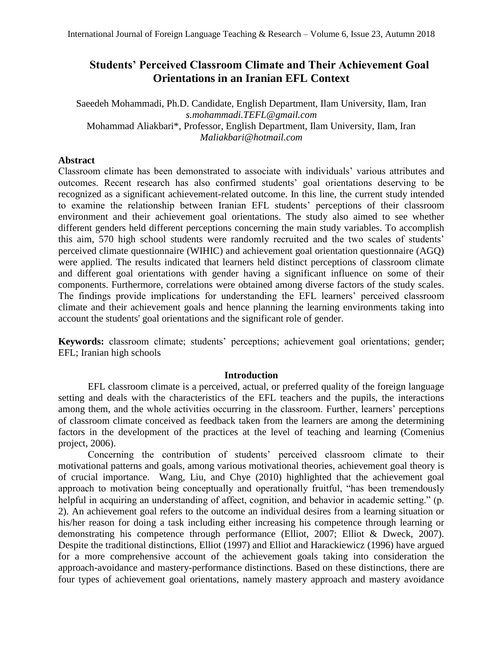# **Students' Perceived Classroom Climate and Their Achievement Goal Orientations in an Iranian EFL Context**

Saeedeh Mohammadi, Ph.D. Candidate, English Department, Ilam University, Ilam, Iran *[s.mohammadi.TEFL@gmail.com](mailto:s.mohammadi.TEFL@gmail.com)* Mohammad Aliakbari\*, Professor, English Department, Ilam University, Ilam, Iran *[Maliakbari@hotmail.com](mailto:Maliakbari@hotmail.com)*

# **Abstract**

Classroom climate has been demonstrated to associate with individuals' various attributes and outcomes. Recent research has also confirmed students' goal orientations deserving to be recognized as a significant achievement-related outcome. In this line, the current study intended to examine the relationship between Iranian EFL students' perceptions of their classroom environment and their achievement goal orientations. The study also aimed to see whether different genders held different perceptions concerning the main study variables. To accomplish this aim, 570 high school students were randomly recruited and the two scales of students' perceived climate questionnaire (WIHIC) and achievement goal orientation questionnaire (AGQ) were applied. The results indicated that learners held distinct perceptions of classroom climate and different goal orientations with gender having a significant influence on some of their components. Furthermore, correlations were obtained among diverse factors of the study scales. The findings provide implications for understanding the EFL learners' perceived classroom climate and their achievement goals and hence planning the learning environments taking into account the students' goal orientations and the significant role of gender.

**Keywords:** classroom climate; students' perceptions; achievement goal orientations; gender; EFL; Iranian high schools

# **Introduction**

EFL classroom climate is a perceived, actual, or preferred quality of the foreign language setting and deals with the characteristics of the EFL teachers and the pupils, the interactions among them, and the whole activities occurring in the classroom. Further, learners' perceptions of classroom climate conceived as feedback taken from the learners are among the determining factors in the development of the practices at the level of teaching and learning (Comenius project, 2006).

Concerning the contribution of students' perceived classroom climate to their motivational patterns and goals, among various motivational theories, achievement goal theory is of crucial importance. Wang, Liu, and Chye (2010) highlighted that the achievement goal approach to motivation being conceptually and operationally fruitful, "has been tremendously helpful in acquiring an understanding of affect, cognition, and behavior in academic setting." (p. 2). An achievement goal refers to the outcome an individual desires from a learning situation or his/her reason for doing a task including either increasing his competence through learning or demonstrating his competence through performance (Elliot, 2007; Elliot & Dweck, 2007). Despite the traditional distinctions, Elliot (1997) and Elliot and Harackiewicz (1996) have argued for a more comprehensive account of the achievement goals taking into consideration the approach-avoidance and mastery-performance distinctions. Based on these distinctions, there are four types of achievement goal orientations, namely mastery approach and mastery avoidance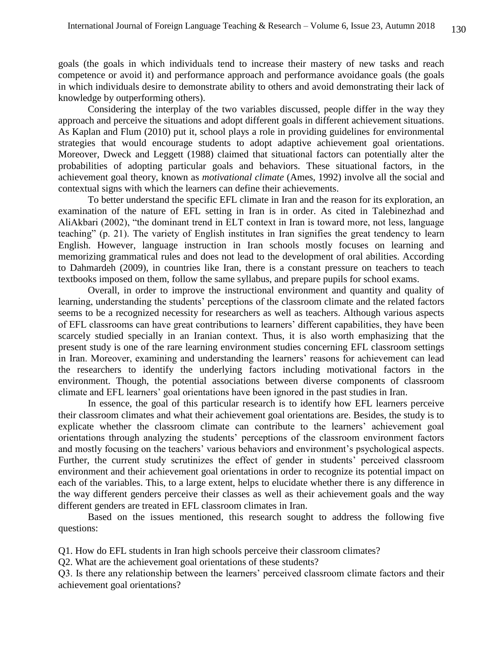goals (the goals in which individuals tend to increase their mastery of new tasks and reach competence or avoid it) and performance approach and performance avoidance goals (the goals in which individuals desire to demonstrate ability to others and avoid demonstrating their lack of knowledge by outperforming others).

Considering the interplay of the two variables discussed, people differ in the way they approach and perceive the situations and adopt different goals in different achievement situations. As Kaplan and Flum (2010) put it, school plays a role in providing guidelines for environmental strategies that would encourage students to adopt adaptive achievement goal orientations. Moreover, Dweck and Leggett (1988) claimed that situational factors can potentially alter the probabilities of adopting particular goals and behaviors. These situational factors, in the achievement goal theory, known as *motivational climate* (Ames, 1992) involve all the social and contextual signs with which the learners can define their achievements.

To better understand the specific EFL climate in Iran and the reason for its exploration, an examination of the nature of EFL setting in Iran is in order. As cited in Talebinezhad and AliAkbari (2002), "the dominant trend in ELT context in Iran is toward more, not less, language teaching" (p. 21). The variety of English institutes in Iran signifies the great tendency to learn English. However, language instruction in Iran schools mostly focuses on learning and memorizing grammatical rules and does not lead to the development of oral abilities. According to Dahmardeh (2009), in countries like Iran, there is a constant pressure on teachers to teach textbooks imposed on them, follow the same syllabus, and prepare pupils for school exams.

Overall, in order to improve the instructional environment and quantity and quality of learning, understanding the students' perceptions of the classroom climate and the related factors seems to be a recognized necessity for researchers as well as teachers. Although various aspects of EFL classrooms can have great contributions to learners' different capabilities, they have been scarcely studied specially in an Iranian context. Thus, it is also worth emphasizing that the present study is one of the rare learning environment studies concerning EFL classroom settings in Iran. Moreover, examining and understanding the learners' reasons for achievement can lead the researchers to identify the underlying factors including motivational factors in the environment. Though, the potential associations between diverse components of classroom climate and EFL learners' goal orientations have been ignored in the past studies in Iran.

In essence, the goal of this particular research is to identify how EFL learners perceive their classroom climates and what their achievement goal orientations are. Besides, the study is to explicate whether the classroom climate can contribute to the learners' achievement goal orientations through analyzing the students' perceptions of the classroom environment factors and mostly focusing on the teachers' various behaviors and environment's psychological aspects. Further, the current study scrutinizes the effect of gender in students' perceived classroom environment and their achievement goal orientations in order to recognize its potential impact on each of the variables. This, to a large extent, helps to elucidate whether there is any difference in the way different genders perceive their classes as well as their achievement goals and the way different genders are treated in EFL classroom climates in Iran.

Based on the issues mentioned, this research sought to address the following five questions:

Q1. How do EFL students in Iran high schools perceive their classroom climates?

Q2. What are the achievement goal orientations of these students?

Q3. Is there any relationship between the learners' perceived classroom climate factors and their achievement goal orientations?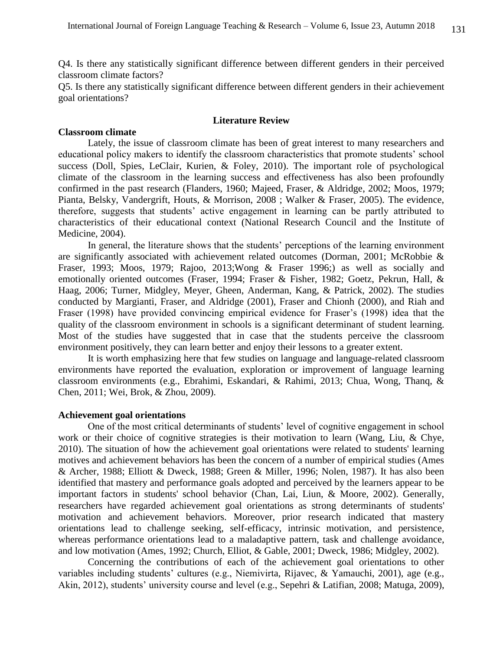Q4. Is there any statistically significant difference between different genders in their perceived classroom climate factors?

Q5. Is there any statistically significant difference between different genders in their achievement goal orientations?

#### **Literature Review**

### **Classroom climate**

Lately, the issue of classroom climate has been of great interest to many researchers and educational policy makers to identify the classroom characteristics that promote students' school success (Doll, Spies, LeClair, Kurien, & Foley, 2010). The important role of psychological climate of the classroom in the learning success and effectiveness has also been profoundly confirmed in the past research (Flanders, 1960; Majeed, Fraser, & Aldridge, 2002; Moos, 1979; Pianta, Belsky, Vandergrift, Houts, & Morrison, 2008 ; Walker & Fraser, 2005). The evidence, therefore, suggests that students' active engagement in learning can be partly attributed to characteristics of their educational context (National Research Council and the Institute of Medicine, 2004).

In general, the literature shows that the students' perceptions of the learning environment are significantly associated with achievement related outcomes (Dorman, 2001; McRobbie & Fraser, 1993; Moos, 1979; Rajoo, 2013;Wong & Fraser 1996;) as well as socially and emotionally oriented outcomes (Fraser, 1994; Fraser & Fisher, 1982; Goetz, Pekrun, Hall, & Haag, 2006; Turner, Midgley, Meyer, Gheen, Anderman, Kang, & Patrick, 2002). The studies conducted by Margianti, Fraser, and Aldridge (2001), Fraser and Chionh (2000), and Riah and Fraser (1998) have provided convincing empirical evidence for Fraser's (1998) idea that the quality of the classroom environment in schools is a significant determinant of student learning. Most of the studies have suggested that in case that the students perceive the classroom environment positively, they can learn better and enjoy their lessons to a greater extent.

It is worth emphasizing here that few studies on language and language-related classroom environments have reported the evaluation, exploration or improvement of language learning classroom environments (e.g., Ebrahimi, Eskandari, & Rahimi, 2013; Chua, Wong, Thanq, & Chen, 2011; Wei, Brok, & Zhou, 2009).

# **Achievement goal orientations**

One of the most critical determinants of students' level of cognitive engagement in school work or their choice of cognitive strategies is their motivation to learn (Wang, Liu, & Chye, 2010). The situation of how the achievement goal orientations were related to students' learning motives and achievement behaviors has been the concern of a number of empirical studies (Ames & Archer, 1988; Elliott & Dweck, 1988; Green & Miller, 1996; Nolen, 1987). It has also been identified that mastery and performance goals adopted and perceived by the learners appear to be important factors in students' school behavior (Chan, Lai, Liun, & Moore, 2002). Generally, researchers have regarded achievement goal orientations as strong determinants of students' motivation and achievement behaviors. Moreover, prior research indicated that mastery orientations lead to challenge seeking, self-efficacy, intrinsic motivation, and persistence, whereas performance orientations lead to a maladaptive pattern, task and challenge avoidance, and low motivation (Ames, 1992; Church, Elliot, & Gable, 2001; Dweck, 1986; Midgley, 2002).

Concerning the contributions of each of the achievement goal orientations to other variables including students' cultures (e.g., Niemivirta, Rijavec, & Yamauchi, 2001), age (e.g., Akin, 2012), students' university course and level (e.g., Sepehri & Latifian, 2008; Matuga, 2009),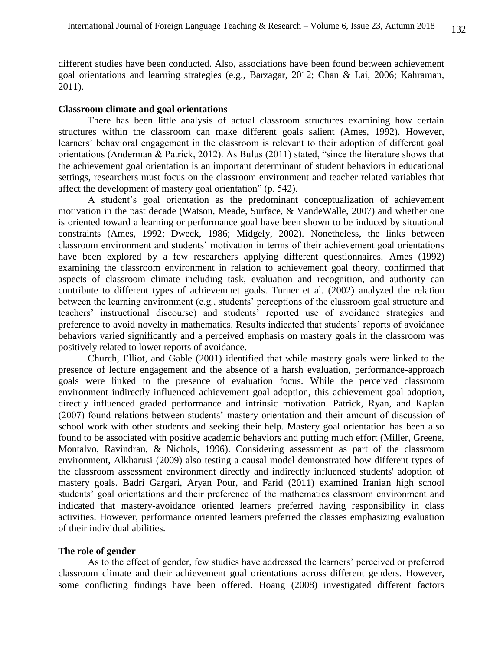different studies have been conducted. Also, associations have been found between achievement goal orientations and learning strategies (e.g., Barzagar, 2012; Chan & Lai, 2006; Kahraman, 2011).

# **Classroom climate and goal orientations**

There has been little analysis of actual classroom structures examining how certain structures within the classroom can make different goals salient (Ames, 1992). However, learners' behavioral engagement in the classroom is relevant to their adoption of different goal orientations (Anderman & Patrick, 2012). As Bulus (2011) stated, "since the literature shows that the achievement goal orientation is an important determinant of student behaviors in educational settings, researchers must focus on the classroom environment and teacher related variables that affect the development of mastery goal orientation" (p. 542).

A student's goal orientation as the predominant conceptualization of achievement motivation in the past decade (Watson, Meade, Surface, & VandeWalle, 2007) and whether one is oriented toward a learning or performance goal have been shown to be induced by situational constraints (Ames, 1992; Dweck, 1986; Midgely, 2002). Nonetheless, the links between classroom environment and students' motivation in terms of their achievement goal orientations have been explored by a few researchers applying different questionnaires. Ames (1992) examining the classroom environment in relation to achievement goal theory, confirmed that aspects of classroom climate including task, evaluation and recognition, and authority can contribute to different types of achievemnet goals. Turner et al. (2002) analyzed the relation between the learning environment (e.g., students' perceptions of the classroom goal structure and teachers' instructional discourse) and students' reported use of avoidance strategies and preference to avoid novelty in mathematics. Results indicated that students' reports of avoidance behaviors varied significantly and a perceived emphasis on mastery goals in the classroom was positively related to lower reports of avoidance.

Church, Elliot, and Gable (2001) identified that while mastery goals were linked to the presence of lecture engagement and the absence of a harsh evaluation, performance-approach goals were linked to the presence of evaluation focus. While the perceived classroom environment indirectly influenced achievement goal adoption, this achievement goal adoption, directly influenced graded performance and intrinsic motivation. Patrick, Ryan, and Kaplan (2007) found relations between students' mastery orientation and their amount of discussion of school work with other students and seeking their help. Mastery goal orientation has been also found to be associated with positive academic behaviors and putting much effort (Miller, Greene, Montalvo, Ravindran, & Nichols, 1996). Considering assessment as part of the classroom environment, Alkharusi (2009) also testing a causal model demonstrated how different types of the classroom assessment environment directly and indirectly influenced students' adoption of mastery goals. Badri Gargari, Aryan Pour, and Farid (2011) examined Iranian high school students' goal orientations and their preference of the mathematics classroom environment and indicated that mastery-avoidance oriented learners preferred having responsibility in class activities. However, performance oriented learners preferred the classes emphasizing evaluation of their individual abilities.

### **The role of gender**

As to the effect of gender, few studies have addressed the learners' perceived or preferred classroom climate and their achievement goal orientations across different genders. However, some conflicting findings have been offered. Hoang (2008) investigated different factors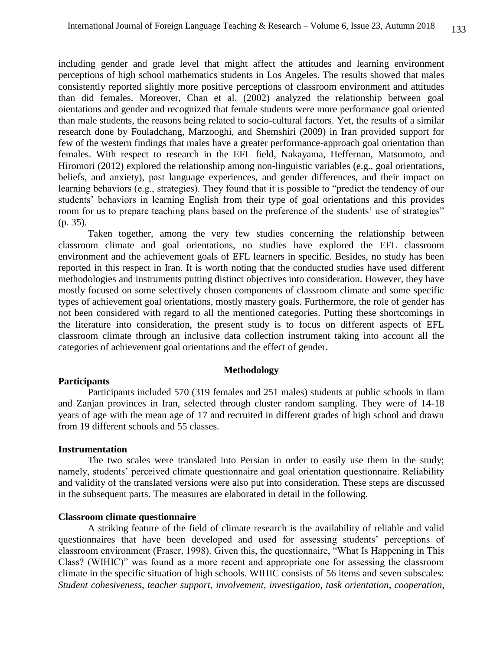including gender and grade level that might affect the attitudes and learning environment perceptions of high school mathematics students in Los Angeles. The results showed that males consistently reported slightly more positive perceptions of classroom environment and attitudes than did females. Moreover, Chan et al. (2002) analyzed the relationship between goal oientations and gender and recognized that female students were more performance goal oriented than male students, the reasons being related to socio-cultural factors. Yet, the results of a similar research done by Fouladchang, Marzooghi, and Shemshiri (2009) in Iran provided support for few of the western findings that males have a greater performance-approach goal orientation than females. With respect to research in the EFL field, Nakayama, Heffernan, Matsumoto, and Hiromori (2012) explored the relationship among non-linguistic variables (e.g., goal orientations, beliefs, and anxiety), past language experiences, and gender differences, and their impact on learning behaviors (e.g., strategies). They found that it is possible to "predict the tendency of our students' behaviors in learning English from their type of goal orientations and this provides room for us to prepare teaching plans based on the preference of the students' use of strategies" (p. 35).

Taken together, among the very few studies concerning the relationship between classroom climate and goal orientations, no studies have explored the EFL classroom environment and the achievement goals of EFL learners in specific. Besides, no study has been reported in this respect in Iran. It is worth noting that the conducted studies have used different methodologies and instruments putting distinct objectives into consideration. However, they have mostly focused on some selectively chosen components of classroom climate and some specific types of achievement goal orientations, mostly mastery goals. Furthermore, the role of gender has not been considered with regard to all the mentioned categories. Putting these shortcomings in the literature into consideration, the present study is to focus on different aspects of EFL classroom climate through an inclusive data collection instrument taking into account all the categories of achievement goal orientations and the effect of gender.

#### **Methodology**

### **Participants**

Participants included 570 (319 females and 251 males) students at public schools in Ilam and Zanjan provinces in Iran, selected through cluster random sampling. They were of 14-18 years of age with the mean age of 17 and recruited in different grades of high school and drawn from 19 different schools and 55 classes.

#### **Instrumentation**

The two scales were translated into Persian in order to easily use them in the study; namely, students' perceived climate questionnaire and goal orientation questionnaire. Reliability and validity of the translated versions were also put into consideration. These steps are discussed in the subsequent parts. The measures are elaborated in detail in the following.

#### **Classroom climate questionnaire**

A striking feature of the field of climate research is the availability of reliable and valid questionnaires that have been developed and used for assessing students' perceptions of classroom environment (Fraser, 1998). Given this, the questionnaire, "What Is Happening in This Class? (WIHIC)" was found as a more recent and appropriate one for assessing the classroom climate in the specific situation of high schools. WIHIC consists of 56 items and seven subscales: *Student cohesiveness*, *teacher support*, *involvement*, *investigation*, *task orientation*, *cooperation*,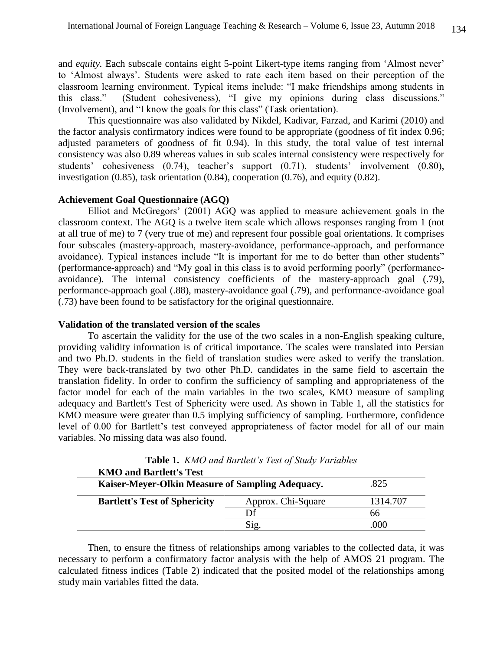and *equity.* Each subscale contains eight 5-point Likert-type items ranging from 'Almost never' to 'Almost always'. Students were asked to rate each item based on their perception of the classroom learning environment. Typical items include: "I make friendships among students in this class." (Student cohesiveness), "I give my opinions during class discussions." (Involvement), and "I know the goals for this class" (Task orientation).

This questionnaire was also validated by Nikdel, Kadivar, Farzad, and Karimi (2010) and the factor analysis confirmatory indices were found to be appropriate (goodness of fit index 0.96; adjusted parameters of goodness of fit 0.94). In this study, the total value of test internal consistency was also 0.89 whereas values in sub scales internal consistency were respectively for students' cohesiveness (0.74), teacher's support (0.71), students' involvement (0.80), investigation (0.85), task orientation (0.84), cooperation (0.76), and equity (0.82).

### **Achievement Goal Questionnaire (AGQ)**

Elliot and McGregors' (2001) AGQ was applied to measure achievement goals in the classroom context. The AGQ is a twelve item scale which allows responses ranging from 1 (not at all true of me) to 7 (very true of me) and represent four possible goal orientations. It comprises four subscales (mastery-approach, mastery-avoidance, performance-approach, and performance avoidance). Typical instances include "It is important for me to do better than other students" (performance-approach) and "My goal in this class is to avoid performing poorly" (performanceavoidance). The internal consistency coefficients of the mastery-approach goal (.79), performance-approach goal (.88), mastery-avoidance goal (.79), and performance-avoidance goal (.73) have been found to be satisfactory for the original questionnaire.

# **Validation of the translated version of the scales**

To ascertain the validity for the use of the two scales in a non-English speaking culture, providing validity information is of critical importance. The scales were translated into Persian and two Ph.D. students in the field of translation studies were asked to verify the translation. They were back-translated by two other Ph.D. candidates in the same field to ascertain the translation fidelity. In order to confirm the sufficiency of sampling and appropriateness of the factor model for each of the main variables in the two scales, KMO measure of sampling adequacy and Bartlett's Test of Sphericity were used. As shown in Table 1, all the statistics for KMO measure were greater than 0.5 implying sufficiency of sampling. Furthermore, confidence level of 0.00 for Bartlett's test conveyed appropriateness of factor model for all of our main variables. No missing data was also found.

| <b>Table 1.</b> <i>KNO and Burtlett s Test of Study Variables</i> |                    |          |  |  |  |
|-------------------------------------------------------------------|--------------------|----------|--|--|--|
| <b>KMO and Bartlett's Test</b>                                    |                    |          |  |  |  |
| .825<br>Kaiser-Meyer-Olkin Measure of Sampling Adequacy.          |                    |          |  |  |  |
| <b>Bartlett's Test of Sphericity</b>                              | Approx. Chi-Square | 1314.707 |  |  |  |
|                                                                   | Df                 | 66       |  |  |  |
|                                                                   | Sig.               | .000     |  |  |  |

**Table 1.** *KMO and Bartlett's Test of Study Variables*

Then, to ensure the fitness of relationships among variables to the collected data, it was necessary to perform a confirmatory factor analysis with the help of AMOS 21 program. The calculated fitness indices (Table 2) indicated that the posited model of the relationships among study main variables fitted the data.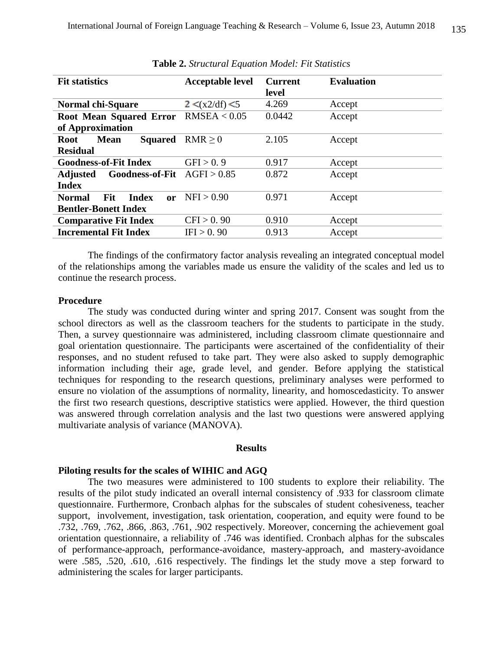| <b>Fit statistics</b>                                              | <b>Acceptable level</b>               | <b>Current</b><br>level | <b>Evaluation</b> |
|--------------------------------------------------------------------|---------------------------------------|-------------------------|-------------------|
| <b>Normal chi-Square</b>                                           | $2 \leq (x \cdot 2/\text{df}) \leq 5$ | 4.269                   | Accept            |
| Root Mean Squared Error RMSEA < 0.05<br>of Approximation           |                                       | 0.0442                  | Accept            |
| <b>Squared</b><br><b>Mean</b><br><b>Root</b><br><b>Residual</b>    | RMR > 0                               | 2.105                   | Accept            |
| <b>Goodness-of-Fit Index</b>                                       | GFI > 0.9                             | 0.917                   | Accept            |
| <b>Goodness-of-Fit</b><br><b>Adjusted</b><br><b>Index</b>          | AGFI > 0.85                           | 0.872                   | Accept            |
| Fit<br><b>Normal</b><br>Index<br>or<br><b>Bentler-Bonett Index</b> | NFI > 0.90                            | 0.971                   | Accept            |
| <b>Comparative Fit Index</b>                                       | CFI > 0.90                            | 0.910                   | Accept            |
| <b>Incremental Fit Index</b>                                       | IFI > 0.90                            | 0.913                   | Accept            |

**Table 2.** *Structural Equation Model: Fit Statistics*

The findings of the confirmatory factor analysis revealing an integrated conceptual model of the relationships among the variables made us ensure the validity of the scales and led us to continue the research process.

#### **Procedure**

The study was conducted during winter and spring 2017. Consent was sought from the school directors as well as the classroom teachers for the students to participate in the study. Then, a survey questionnaire was administered, including classroom climate questionnaire and goal orientation questionnaire. The participants were ascertained of the confidentiality of their responses, and no student refused to take part. They were also asked to supply demographic information including their age, grade level, and gender. Before applying the statistical techniques for responding to the research questions, preliminary analyses were performed to ensure no violation of the assumptions of normality, linearity, and homoscedasticity. To answer the first two research questions, descriptive statistics were applied. However, the third question was answered through correlation analysis and the last two questions were answered applying multivariate analysis of variance (MANOVA).

#### **Results**

#### **Piloting results for the scales of WIHIC and AGQ**

The two measures were administered to 100 students to explore their reliability. The results of the pilot study indicated an overall internal consistency of .933 for classroom climate questionnaire. Furthermore, Cronbach alphas for the subscales of student cohesiveness, teacher support, involvement, investigation, task orientation, cooperation, and equity were found to be .732, .769, .762, .866, .863, .761, .902 respectively. Moreover, concerning the achievement goal orientation questionnaire, a reliability of .746 was identified. Cronbach alphas for the subscales of performance-approach, performance-avoidance, mastery-approach, and mastery-avoidance were .585, .520, .610, .616 respectively. The findings let the study move a step forward to administering the scales for larger participants.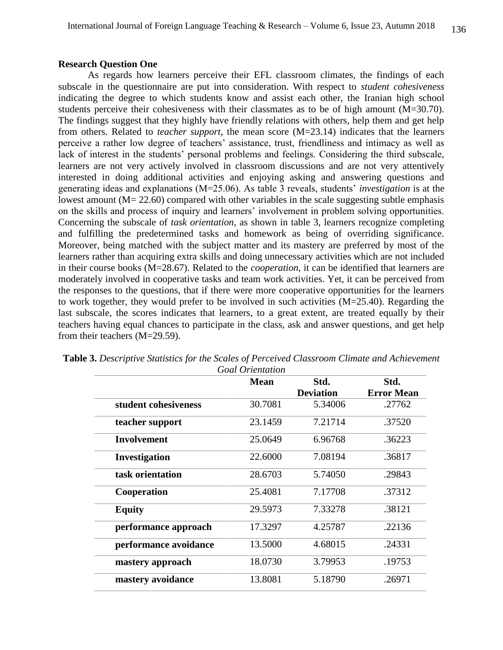# **Research Question One**

As regards how learners perceive their EFL classroom climates, the findings of each subscale in the questionnaire are put into consideration. With respect to *student cohesiveness*  indicating the degree to which students know and assist each other, the Iranian high school students perceive their cohesiveness with their classmates as to be of high amount (M=30.70). The findings suggest that they highly have friendly relations with others, help them and get help from others. Related to *teacher support*, the mean score (M=23.14) indicates that the learners perceive a rather low degree of teachers' assistance, trust, friendliness and intimacy as well as lack of interest in the students' personal problems and feelings. Considering the third subscale, learners are not very actively involved in classroom discussions and are not very attentively interested in doing additional activities and enjoying asking and answering questions and generating ideas and explanations (M=25.06). As table 3 reveals, students' *investigation* is at the lowest amount  $(M = 22.60)$  compared with other variables in the scale suggesting subtle emphasis on the skills and process of inquiry and learners' involvement in problem solving opportunities. Concerning the subscale of *task orientation*, as shown in table 3, learners recognize completing and fulfilling the predetermined tasks and homework as being of overriding significance. Moreover, being matched with the subject matter and its mastery are preferred by most of the learners rather than acquiring extra skills and doing unnecessary activities which are not included in their course books (M=28.67). Related to the *cooperation,* it can be identified that learners are moderately involved in cooperative tasks and team work activities. Yet, it can be perceived from the responses to the questions, that if there were more cooperative opportunities for the learners to work together, they would prefer to be involved in such activities (M=25.40). Regarding the last subscale, the scores indicates that learners, to a great extent, are treated equally by their teachers having equal chances to participate in the class, ask and answer questions, and get help from their teachers (M=29.59).

|                       | <b>Mean</b> | Std.             | Std.              |
|-----------------------|-------------|------------------|-------------------|
|                       |             | <b>Deviation</b> | <b>Error Mean</b> |
| student cohesiveness  | 30.7081     | 5.34006          | .27762            |
| teacher support       | 23.1459     | 7.21714          | .37520            |
| <b>Involvement</b>    | 25.0649     | 6.96768          | .36223            |
| Investigation         | 22.6000     | 7.08194          | .36817            |
| task orientation      | 28.6703     | 5.74050          | .29843            |
| Cooperation           | 25.4081     | 7.17708          | .37312            |
| <b>Equity</b>         | 29.5973     | 7.33278          | .38121            |
| performance approach  | 17.3297     | 4.25787          | .22136            |
| performance avoidance | 13.5000     | 4.68015          | .24331            |
| mastery approach      | 18.0730     | 3.79953          | .19753            |
| mastery avoidance     | 13.8081     | 5.18790          | .26971            |

| <b>Table 3.</b> Descriptive Statistics for the Scales of Perceived Classroom Climate and Achievement |
|------------------------------------------------------------------------------------------------------|
| <b>Goal Orientation</b>                                                                              |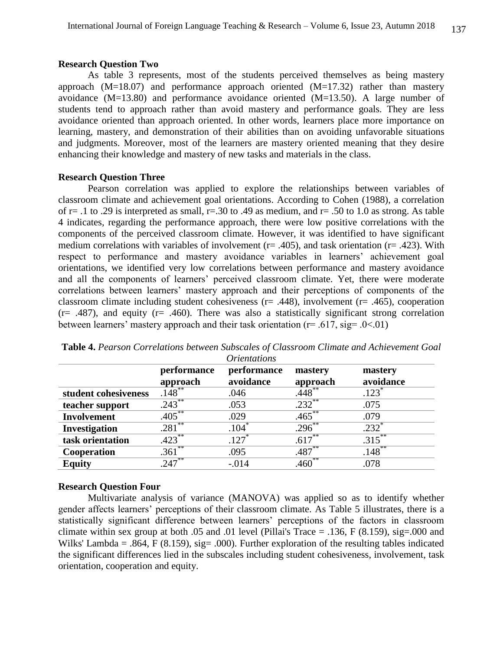#### **Research Question Two**

As table 3 represents, most of the students perceived themselves as being mastery approach  $(M=18.07)$  and performance approach oriented  $(M=17.32)$  rather than mastery avoidance (M=13.80) and performance avoidance oriented (M=13.50). A large number of students tend to approach rather than avoid mastery and performance goals. They are less avoidance oriented than approach oriented. In other words, learners place more importance on learning, mastery, and demonstration of their abilities than on avoiding unfavorable situations and judgments. Moreover, most of the learners are mastery oriented meaning that they desire enhancing their knowledge and mastery of new tasks and materials in the class.

#### **Research Question Three**

Pearson correlation was applied to explore the relationships between variables of classroom climate and achievement goal orientations. According to Cohen (1988), a correlation of  $r = .1$  to .29 is interpreted as small,  $r = .30$  to .49 as medium, and  $r = .50$  to 1.0 as strong. As table 4 indicates, regarding the performance approach, there were low positive correlations with the components of the perceived classroom climate. However, it was identified to have significant medium correlations with variables of involvement ( $r = .405$ ), and task orientation ( $r = .423$ ). With respect to performance and mastery avoidance variables in learners' achievement goal orientations, we identified very low correlations between performance and mastery avoidance and all the components of learners' perceived classroom climate. Yet, there were moderate correlations between learners' mastery approach and their perceptions of components of the classroom climate including student cohesiveness ( $r = .448$ ), involvement ( $r = .465$ ), cooperation  $(r= .487)$ , and equity  $(r= .460)$ . There was also a statistically significant strong correlation between learners' mastery approach and their task orientation ( $r = .617$ ,  $sig = .0 < .01$ )

|                      |                           | --------------           |                     |                      |
|----------------------|---------------------------|--------------------------|---------------------|----------------------|
|                      | performance<br>approach   | performance<br>avoidance | mastery<br>approach | mastery<br>avoidance |
| student cohesiveness | $.148***$                 | .046                     | $.448**$            | $.123$ <sup>*</sup>  |
| teacher support      | $.243***$                 | .053                     | $.232***$           | .075                 |
| <b>Involvement</b>   | $.405***$                 | .029                     | $.465***$           | .079                 |
| <b>Investigation</b> | **<br>.281                | .104 <sup>°</sup>        | $.296^{**}$         | $.232$ <sup>*</sup>  |
| task orientation     | $.423***$                 | $.127$ <sup>*</sup>      | $.617***$           | .315                 |
| Cooperation          | **<br>$.361$ <sup>*</sup> | .095                     | $.487***$           | $.148***$            |
| <b>Equity</b>        | $247***$                  | $-.014$                  | $.460**$            | .078                 |

**Table 4.** *Pearson Correlations between Subscales of Classroom Climate and Achievement Goal Orientations*

#### **Research Question Four**

Multivariate analysis of variance (MANOVA) was applied so as to identify whether gender affects learners' perceptions of their classroom climate. As Table 5 illustrates, there is a statistically significant difference between learners' perceptions of the factors in classroom climate within sex group at both .05 and .01 level (Pillai's Trace  $=$  .136, F (8.159), sig=.000 and Wilks' Lambda = .864, F (8.159), sig= .000). Further exploration of the resulting tables indicated the significant differences lied in the subscales including student cohesiveness, involvement, task orientation, cooperation and equity.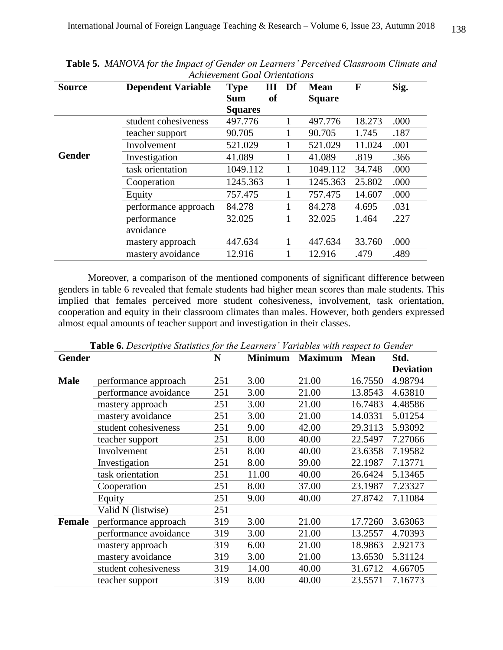| <b>Source</b> | <b>Dependent Variable</b> | Ш<br><b>Type</b> | Df | <b>Mean</b>   | F      | Sig. |
|---------------|---------------------------|------------------|----|---------------|--------|------|
|               |                           | of<br><b>Sum</b> |    | <b>Square</b> |        |      |
|               |                           | <b>Squares</b>   |    |               |        |      |
|               | student cohesiveness      | 497.776          |    | 497.776       | 18.273 | .000 |
|               | teacher support           | 90.705           |    | 90.705        | 1.745  | .187 |
|               | Involvement               | 521.029          |    | 521.029       | 11.024 | .001 |
| <b>Gender</b> | Investigation             | 41.089           |    | 41.089        | .819   | .366 |
|               | task orientation          | 1049.112         |    | 1049.112      | 34.748 | .000 |
|               | Cooperation               | 1245.363         |    | 1245.363      | 25.802 | .000 |
|               | Equity                    | 757.475          |    | 757.475       | 14.607 | .000 |
|               | performance approach      | 84.278           |    | 84.278        | 4.695  | .031 |
|               | performance               | 32.025           |    | 32.025        | 1.464  | .227 |
|               | avoidance                 |                  |    |               |        |      |
|               | mastery approach          | 447.634          |    | 447.634       | 33.760 | .000 |
|               | mastery avoidance         | 12.916           |    | 12.916        | .479   | .489 |

**Table 5.** *MANOVA for the Impact of Gender on Learners' Perceived Classroom Climate and Achievement Goal Orientations*

Moreover, a comparison of the mentioned components of significant difference between genders in table 6 revealed that female students had higher mean scores than male students. This implied that females perceived more student cohesiveness, involvement, task orientation, cooperation and equity in their classroom climates than males. However, both genders expressed almost equal amounts of teacher support and investigation in their classes.

| <b>Gender</b> |                       | N   | <b>Minimum</b> | <b>Maximum</b> | <b>Mean</b> | Std.             |
|---------------|-----------------------|-----|----------------|----------------|-------------|------------------|
|               |                       |     |                |                |             | <b>Deviation</b> |
| <b>Male</b>   | performance approach  | 251 | 3.00           | 21.00          | 16.7550     | 4.98794          |
|               | performance avoidance | 251 | 3.00           | 21.00          | 13.8543     | 4.63810          |
|               | mastery approach      | 251 | 3.00           | 21.00          | 16.7483     | 4.48586          |
|               | mastery avoidance     | 251 | 3.00           | 21.00          | 14.0331     | 5.01254          |
|               | student cohesiveness  | 251 | 9.00           | 42.00          | 29.3113     | 5.93092          |
|               | teacher support       | 251 | 8.00           | 40.00          | 22.5497     | 7.27066          |
|               | Involvement           | 251 | 8.00           | 40.00          | 23.6358     | 7.19582          |
|               | Investigation         | 251 | 8.00           | 39.00          | 22.1987     | 7.13771          |
|               | task orientation      | 251 | 11.00          | 40.00          | 26.6424     | 5.13465          |
|               | Cooperation           | 251 | 8.00           | 37.00          | 23.1987     | 7.23327          |
|               | Equity                | 251 | 9.00           | 40.00          | 27.8742     | 7.11084          |
|               | Valid N (listwise)    | 251 |                |                |             |                  |
| Female        | performance approach  | 319 | 3.00           | 21.00          | 17.7260     | 3.63063          |
|               | performance avoidance | 319 | 3.00           | 21.00          | 13.2557     | 4.70393          |
|               | mastery approach      | 319 | 6.00           | 21.00          | 18.9863     | 2.92173          |
|               | mastery avoidance     | 319 | 3.00           | 21.00          | 13.6530     | 5.31124          |
|               | student cohesiveness  | 319 | 14.00          | 40.00          | 31.6712     | 4.66705          |
|               | teacher support       | 319 | 8.00           | 40.00          | 23.5571     | 7.16773          |

**Table 6.** *Descriptive Statistics for the Learners' Variables with respect to Gender*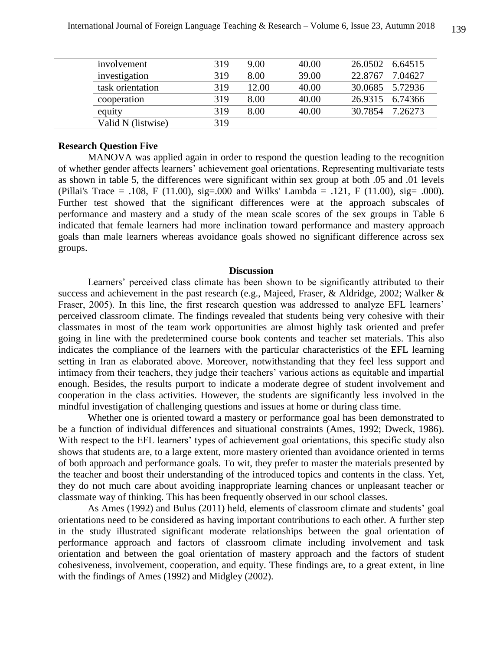| involvement        | 319 | 9.00  | 40.00 | 26.0502 6.64515 |         |
|--------------------|-----|-------|-------|-----------------|---------|
| investigation      | 319 | 8.00  | 39.00 | 22.8767         | 7.04627 |
| task orientation   | 319 | 12.00 | 40.00 | 30.0685 5.72936 |         |
| cooperation        | 319 | 8.00  | 40.00 | 26.9315 6.74366 |         |
| equity             | 319 | 8.00  | 40.00 | 30.7854 7.26273 |         |
| Valid N (listwise) | 319 |       |       |                 |         |
|                    |     |       |       |                 |         |

# **Research Question Five**

MANOVA was applied again in order to respond the question leading to the recognition of whether gender affects learners' achievement goal orientations. Representing multivariate tests as shown in table 5, the differences were significant within sex group at both .05 and .01 levels (Pillai's Trace = .108, F (11.00), sig=.000 and Wilks' Lambda = .121, F (11.00), sig= .000). Further test showed that the significant differences were at the approach subscales of performance and mastery and a study of the mean scale scores of the sex groups in Table 6 indicated that female learners had more inclination toward performance and mastery approach goals than male learners whereas avoidance goals showed no significant difference across sex groups.

#### **Discussion**

Learners' perceived class climate has been shown to be significantly attributed to their success and achievement in the past research (e.g., Majeed, Fraser, & Aldridge, 2002; Walker & Fraser, 2005). In this line, the first research question was addressed to analyze EFL learners' perceived classroom climate. The findings revealed that students being very cohesive with their classmates in most of the team work opportunities are almost highly task oriented and prefer going in line with the predetermined course book contents and teacher set materials. This also indicates the compliance of the learners with the particular characteristics of the EFL learning setting in Iran as elaborated above. Moreover, notwithstanding that they feel less support and intimacy from their teachers, they judge their teachers' various actions as equitable and impartial enough. Besides, the results purport to indicate a moderate degree of student involvement and cooperation in the class activities. However, the students are significantly less involved in the mindful investigation of challenging questions and issues at home or during class time.

Whether one is oriented toward a mastery or performance goal has been demonstrated to be a function of individual differences and situational constraints (Ames, 1992; Dweck, 1986). With respect to the EFL learners' types of achievement goal orientations, this specific study also shows that students are, to a large extent, more mastery oriented than avoidance oriented in terms of both approach and performance goals. To wit, they prefer to master the materials presented by the teacher and boost their understanding of the introduced topics and contents in the class. Yet, they do not much care about avoiding inappropriate learning chances or unpleasant teacher or classmate way of thinking. This has been frequently observed in our school classes.

As Ames (1992) and Bulus (2011) held, elements of classroom climate and students' goal orientations need to be considered as having important contributions to each other. A further step in the study illustrated significant moderate relationships between the goal orientation of performance approach and factors of classroom climate including involvement and task orientation and between the goal orientation of mastery approach and the factors of student cohesiveness, involvement, cooperation, and equity. These findings are, to a great extent, in line with the findings of Ames (1992) and Midgley (2002).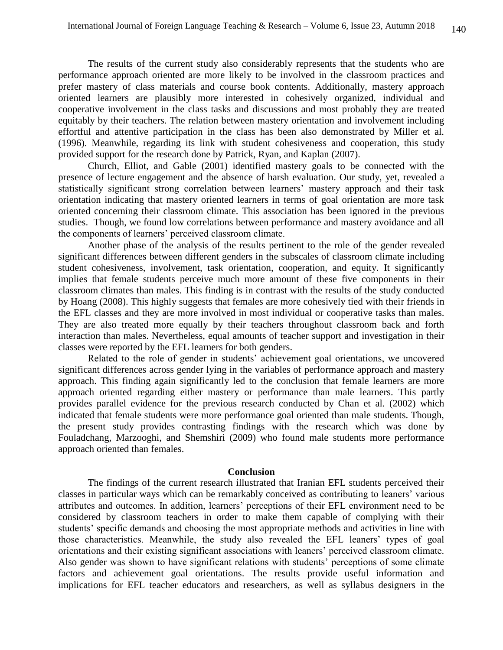The results of the current study also considerably represents that the students who are performance approach oriented are more likely to be involved in the classroom practices and prefer mastery of class materials and course book contents. Additionally, mastery approach oriented learners are plausibly more interested in cohesively organized, individual and cooperative involvement in the class tasks and discussions and most probably they are treated equitably by their teachers. The relation between mastery orientation and involvement including effortful and attentive participation in the class has been also demonstrated by Miller et al. (1996). Meanwhile, regarding its link with student cohesiveness and cooperation, this study provided support for the research done by Patrick, Ryan, and Kaplan (2007).

Church, Elliot, and Gable (2001) identified mastery goals to be connected with the presence of lecture engagement and the absence of harsh evaluation. Our study, yet, revealed a statistically significant strong correlation between learners' mastery approach and their task orientation indicating that mastery oriented learners in terms of goal orientation are more task oriented concerning their classroom climate. This association has been ignored in the previous studies. Though, we found low correlations between performance and mastery avoidance and all the components of learners' perceived classroom climate.

Another phase of the analysis of the results pertinent to the role of the gender revealed significant differences between different genders in the subscales of classroom climate including student cohesiveness, involvement, task orientation, cooperation, and equity. It significantly implies that female students perceive much more amount of these five components in their classroom climates than males. This finding is in contrast with the results of the study conducted by Hoang (2008). This highly suggests that females are more cohesively tied with their friends in the EFL classes and they are more involved in most individual or cooperative tasks than males. They are also treated more equally by their teachers throughout classroom back and forth interaction than males. Nevertheless, equal amounts of teacher support and investigation in their classes were reported by the EFL learners for both genders.

Related to the role of gender in students' achievement goal orientations, we uncovered significant differences across gender lying in the variables of performance approach and mastery approach. This finding again significantly led to the conclusion that female learners are more approach oriented regarding either mastery or performance than male learners. This partly provides parallel evidence for the previous research conducted by Chan et al. (2002) which indicated that female students were more performance goal oriented than male students. Though, the present study provides contrasting findings with the research which was done by Fouladchang, Marzooghi, and Shemshiri (2009) who found male students more performance approach oriented than females.

### **Conclusion**

The findings of the current research illustrated that Iranian EFL students perceived their classes in particular ways which can be remarkably conceived as contributing to leaners' various attributes and outcomes. In addition, learners' perceptions of their EFL environment need to be considered by classroom teachers in order to make them capable of complying with their students' specific demands and choosing the most appropriate methods and activities in line with those characteristics. Meanwhile, the study also revealed the EFL leaners' types of goal orientations and their existing significant associations with leaners' perceived classroom climate. Also gender was shown to have significant relations with students' perceptions of some climate factors and achievement goal orientations. The results provide useful information and implications for EFL teacher educators and researchers, as well as syllabus designers in the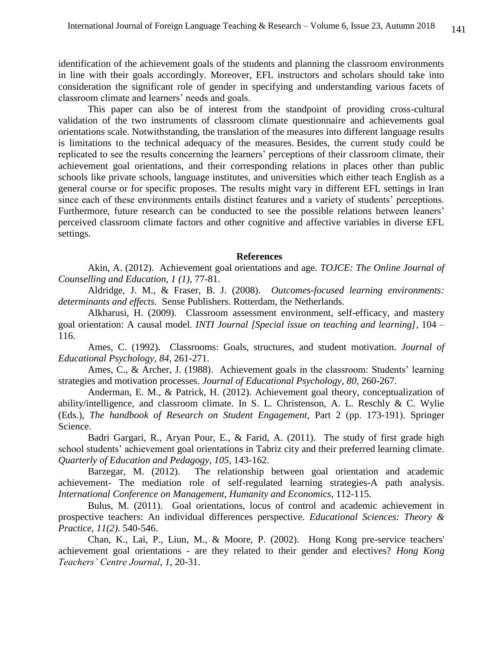identification of the achievement goals of the students and planning the classroom environments in line with their goals accordingly. Moreover, EFL instructors and scholars should take into consideration the significant role of gender in specifying and understanding various facets of classroom climate and learners' needs and goals.

This paper can also be of interest from the standpoint of providing cross-cultural validation of the two instruments of classroom climate questionnaire and achievements goal orientations scale. Notwithstanding, the translation of the measures into different language results is limitations to the technical adequacy of the measures. Besides, the current study could be replicated to see the results concerning the learners' perceptions of their classroom climate, their achievement goal orientations, and their corresponding relations in places other than public schools like private schools, language institutes, and universities which either teach English as a general course or for specific proposes. The results might vary in different EFL settings in Iran since each of these environments entails distinct features and a variety of students' perceptions. Furthermore, future research can be conducted to see the possible relations between leaners' perceived classroom climate factors and other cognitive and affective variables in diverse EFL settings.

#### **References**

Akin, A. (2012). Achievement goal orientations and age. *TOJCE: The Online Journal of Counselling and Education, 1 (1),* 77-81.

Aldridge, J. M., & Fraser, B. J. (2008). *Outcomes-focused learning environments: determinants and effects.* Sense Publishers. Rotterdam, the Netherlands.

Alkharusi, H. (2009). Classroom assessment environment, self-efficacy, and mastery goal orientation: A causal model*. INTI Journal [Special issue on teaching and learning],* 104 – 116.

Ames, C. (1992). Classrooms: Goals, structures, and student motivation. *Journal of Educational Psychology, 84,* 261-271.

Ames, C., & Archer, J. (1988). Achievement goals in the classroom: Students' learning strategies and motivation processes. *Journal of Educational Psychology, 80,* 260-267.

Anderman, E. M., & Patrick, H. (2012). Achievement goal theory, conceptualization of ability/intelligence, and classroom climate. In S. L. Christenson, A. L. Reschly & C. Wylie (Eds.), *The handbook of Research on Student Engagement*, Part 2 (pp. 173-191). Springer Science.

Badri Gargari, R., Aryan Pour, E., & Farid, A. (2011). The study of first grade high school students' achievement goal orientations in Tabriz city and their preferred learning climate. *Quarterly of Education and Pedagogy, 105*, 143-162.

Barzegar, M. (2012). The relationship between goal orientation and academic achievement- The mediation role of self-regulated learning strategies-A path analysis. *International Conference on Management, Humanity and Economics*, 112-115.

Bulus, M. (2011). Goal orientations, locus of control and academic achievement in prospective teachers: An individual differences perspective. *Educational Sciences: Theory & Practice, 11(2).* 540-546.

Chan, K., Lai, P., Liun, M., & Moore, P. (2002). Hong Kong pre-service teachers' achievement goal orientations - are they related to their gender and electives? *Hong Kong Teachers' Centre Journal*, *1,* 20-31.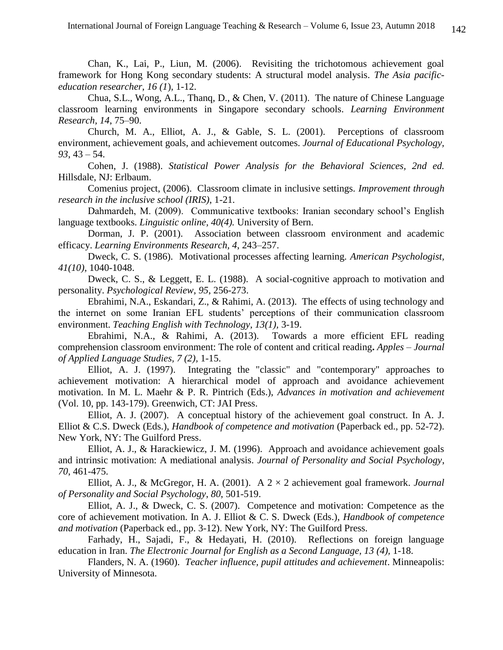Chan, K., Lai, P., Liun, M. (2006). Revisiting the trichotomous achievement goal framework for Hong Kong secondary students: A structural model analysis. *The Asia pacificeducation researcher, 16 (1*), 1-12.

Chua, S.L., Wong, A.L., Thanq, D., & Chen, V. (2011). The nature of Chinese Language classroom learning environments in Singapore secondary schools. *Learning Environment Research, 14*, 75–90.

Church, M. A., Elliot, A. J., & Gable, S. L. (2001). Perceptions of classroom environment, achievement goals, and achievement outcomes. *Journal of Educational Psychology, 93*, 43 – 54.

Cohen, J. (1988). *Statistical Power Analysis for the Behavioral Sciences, 2nd ed.* Hillsdale, NJ: Erlbaum.

Comenius project, (2006). Classroom climate in inclusive settings. *Improvement through research in the inclusive school (IRIS)*, 1-21.

Dahmardeh, M. (2009). Communicative textbooks: Iranian secondary school's English language textbooks. *Linguistic online, 40(4).* University of Bern.

Dorman, J. P. (2001). Association between classroom environment and academic efficacy. *Learning Environments Research, 4*, 243–257.

Dweck, C. S. (1986). Motivational processes affecting learning. *American Psychologist, 41(10),* 1040-1048.

Dweck, C. S., & Leggett, E. L. (1988). A social-cognitive approach to motivation and personality. *Psychological Review*, *95*, 256-273.

Ebrahimi, N.A., Eskandari, Z., & Rahimi, A. (2013). The effects of using technology and the internet on some Iranian EFL students' perceptions of their communication classroom environment. *Teaching English with Technology, 13(1),* 3-19.

Ebrahimi, N.A., & Rahimi, A. (2013). Towards a more efficient EFL reading comprehension classroom environment: The role of content and critical reading**.** *Apples – Journal of Applied Language Studies, 7 (2),* 1-15.

Elliot, A. J. (1997). Integrating the "classic" and "contemporary" approaches to achievement motivation: A hierarchical model of approach and avoidance achievement motivation. In M. L. Maehr & P. R. Pintrich (Eds.), *Advances in motivation and achievement* (Vol. 10, pp. 143-179). Greenwich, CT: JAI Press.

Elliot, A. J. (2007). A conceptual history of the achievement goal construct. In A. J. Elliot & C.S. Dweck (Eds.), *Handbook of competence and motivation* (Paperback ed., pp. 52-72). New York, NY: The Guilford Press.

Elliot, A. J., & Harackiewicz, J. M. (1996). Approach and avoidance achievement goals and intrinsic motivation: A mediational analysis. *Journal of Personality and Social Psychology*, *70*, 461-475.

Elliot, A. J., & McGregor, H. A. (2001). A 2 × 2 achievement goal framework. *Journal of Personality and Social Psychology*, *80*, 501-519.

Elliot, A. J., & Dweck, C. S. (2007). Competence and motivation: Competence as the core of achievement motivation. In A. J. Elliot & C. S. Dweck (Eds.), *Handbook of competence and motivation* (Paperback ed., pp. 3-12). New York, NY: The Guilford Press.

Farhady, H., Sajadi, F., & Hedayati, H. (2010). Reflections on foreign language education in Iran. *The Electronic Journal for English as a Second Language, 13 (4), 1-18.* 

Flanders, N. A. (1960). *Teacher influence, pupil attitudes and achievement*. Minneapolis: University of Minnesota.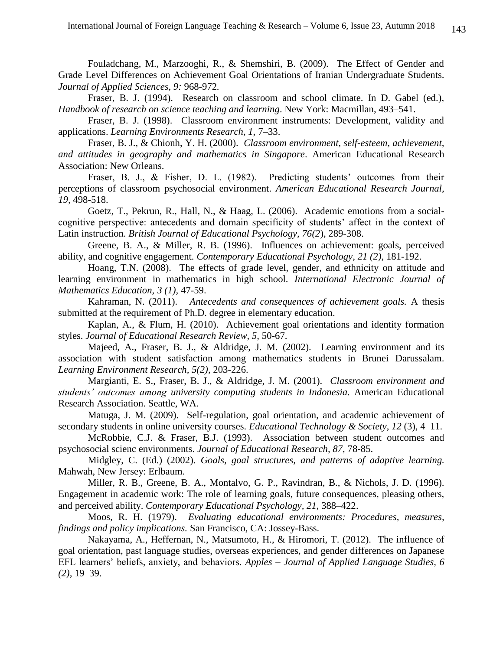Fouladchang, M., Marzooghi, R., & Shemshiri, B. (2009). The Effect of Gender and Grade Level Differences on Achievement Goal Orientations of Iranian Undergraduate Students. *Journal of Applied Sciences, 9:* 968-972*.*

Fraser, B. J. (1994). Research on classroom and school climate. In D. Gabel (ed.), *Handbook of research on science teaching and learning*. New York: Macmillan, 493–541.

Fraser, B. J. (1998). Classroom environment instruments: Development, validity and applications. *Learning Environments Research*, *1*, 7–33.

Fraser, B. J., & Chionh, Y. H. (2000). *Classroom environment, self-esteem, achievement, and attitudes in geography and mathematics in Singapore*. American Educational Research Association: New Orleans.

Fraser, B. J., & Fisher, D. L. (1982). Predicting students' outcomes from their perceptions of classroom psychosocial environment. *American Educational Research Journal, 19,* 498-518.

Goetz, T., Pekrun, R., Hall, N., & Haag, L. (2006). Academic emotions from a socialcognitive perspective: antecedents and domain specificity of students' affect in the context of Latin instruction. *British Journal of Educational Psychology, 76(2*), 289-308.

Greene, B. A., & Miller, R. B. (1996). Influences on achievement: goals, perceived ability, and cognitive engagement. *Contemporary Educational Psychology, 21 (2),* 181-192.

Hoang, T.N. (2008). The effects of grade level, gender, and ethnicity on attitude and learning environment in mathematics in high school. *International Electronic Journal of Mathematics Education, 3 (1),* 47-59.

Kahraman, N. (2011). *Antecedents and consequences of achievement goals.* A thesis submitted at the requirement of Ph.D. degree in elementary education.

Kaplan, A., & Flum, H. (2010). Achievement goal orientations and identity formation styles. *Journal of Educational Research Review, 5,* 50-67.

Majeed, A., Fraser, B. J., & Aldridge, J. M. (2002). Learning environment and its association with student satisfaction among mathematics students in Brunei Darussalam. *Learning Environment Research, 5(2),* 203-226.

Margianti, E. S., Fraser, B. J., & Aldridge, J. M. (2001). *Classroom environment and students' outcomes among university computing students in Indonesia.* American Educational Research Association. Seattle, WA.

Matuga, J. M. (2009). Self-regulation, goal orientation, and academic achievement of secondary students in online university courses. *Educational Technology & Society*, *12* (3), 4–11.

McRobbie, C.J. & Fraser, B.J. (1993). Association between student outcomes and psychosocial scienc environments. *Journal of Educational Research, 87*, 78-85.

Midgley, C. (Ed.) (2002). *Goals, goal structures, and patterns of adaptive learning.* Mahwah, New Jersey: Erlbaum.

Miller, R. B., Greene, B. A., Montalvo, G. P., Ravindran, B., & Nichols, J. D. (1996). Engagement in academic work: The role of learning goals, future consequences, pleasing others, and perceived ability. *Contemporary Educational Psychology, 21*, 388–422.

Moos, R. H. (1979). *Evaluating educational environments: Procedures, measures, findings and policy implications.* San Francisco, CA: Jossey-Bass.

Nakayama, A., Heffernan, N., Matsumoto, H., & Hiromori, T. (2012). The influence of goal orientation, past language studies, overseas experiences, and gender differences on Japanese EFL learners' beliefs, anxiety, and behaviors. *Apples – Journal of Applied Language Studies, 6 (2),* 19–39.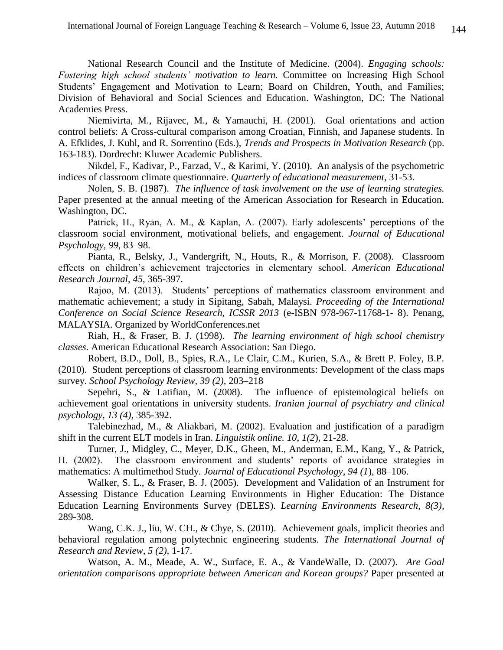National Research Council and the Institute of Medicine. (2004). *Engaging schools: Fostering high school students' motivation to learn.* Committee on Increasing High School Students' Engagement and Motivation to Learn; Board on Children, Youth, and Families; Division of Behavioral and Social Sciences and Education. Washington, DC: The National Academies Press.

Niemivirta, M., Rijavec, M., & Yamauchi, H. (2001). Goal orientations and action control beliefs: A Cross-cultural comparison among Croatian, Finnish, and Japanese students. In A. Efklides, J. Kuhl, and R. Sorrentino (Eds.), *Trends and Prospects in Motivation Research* (pp. 163-183). Dordrecht: Kluwer Academic Publishers.

Nikdel, F., Kadivar, P., Farzad, V., & Karimi, Y. (2010). An analysis of the psychometric indices of classroom climate questionnaire. *Quarterly of educational measurement*, 31-53.

Nolen, S. B. (1987). *The influence of task involvement on the use of learning strategies.*  Paper presented at the annual meeting of the American Association for Research in Education. Washington, DC.

Patrick, H., Ryan, A. M., & Kaplan, A. (2007). Early adolescents' perceptions of the classroom social environment, motivational beliefs, and engagement. *Journal of Educational Psychology, 99*, 83–98.

Pianta, R., Belsky, J., Vandergrift, N., Houts, R., & Morrison, F. (2008). Classroom effects on children's achievement trajectories in elementary school. *American Educational Research Journal, 45,* 365-397.

Rajoo, M. (2013). Students' perceptions of mathematics classroom environment and mathematic achievement; a study in Sipitang, Sabah, Malaysi. *Proceeding of the International Conference on Social Science Research, ICSSR 2013* (e-ISBN 978-967-11768-1- 8). Penang, MALAYSIA. Organized by WorldConferences.net

Riah, H., & Fraser, B. J. (1998). *The learning environment of high school chemistry classes*. American Educational Research Association: San Diego.

Robert, B.D., Doll, B., Spies, R.A., Le Clair, C.M., Kurien, S.A., & Brett P. Foley, B.P. (2010). Student perceptions of classroom learning environments: Development of the class maps survey. *School Psychology Review, 39 (2),* 203–218

Sepehri, S., & Latifian, M. (2008). The influence of epistemological beliefs on achievement goal orientations in university students. *Iranian journal of psychiatry and clinical psychology, 13 (4),* 385-392.

Talebinezhad, M., & Aliakbari, M. (2002). Evaluation and justification of a paradigm shift in the current ELT models in Iran. *Linguistik online. 10*, *1(2*), 21-28.

Turner, J., Midgley, C., Meyer, D.K., Gheen, M., Anderman, E.M., Kang, Y., & Patrick, H. (2002). The classroom environment and students' reports of avoidance strategies in mathematics: A multimethod Study. *Journal of Educational Psychology, 94 (1*), 88–106.

Walker, S. L., & Fraser, B. J. (2005). Development and Validation of an Instrument for Assessing Distance Education Learning Environments in Higher Education: The Distance Education Learning Environments Survey (DELES). *Learning Environments Research, 8(3),* 289-308.

Wang, C.K. J., liu, W. CH., & Chye, S. (2010). Achievement goals, implicit theories and behavioral regulation among polytechnic engineering students. *The International Journal of Research and Review, 5 (2),* 1-17.

Watson, A. M., Meade, A. W., Surface, E. A., & VandeWalle, D. (2007). *Are Goal orientation comparisons appropriate between American and Korean groups?* Paper presented at